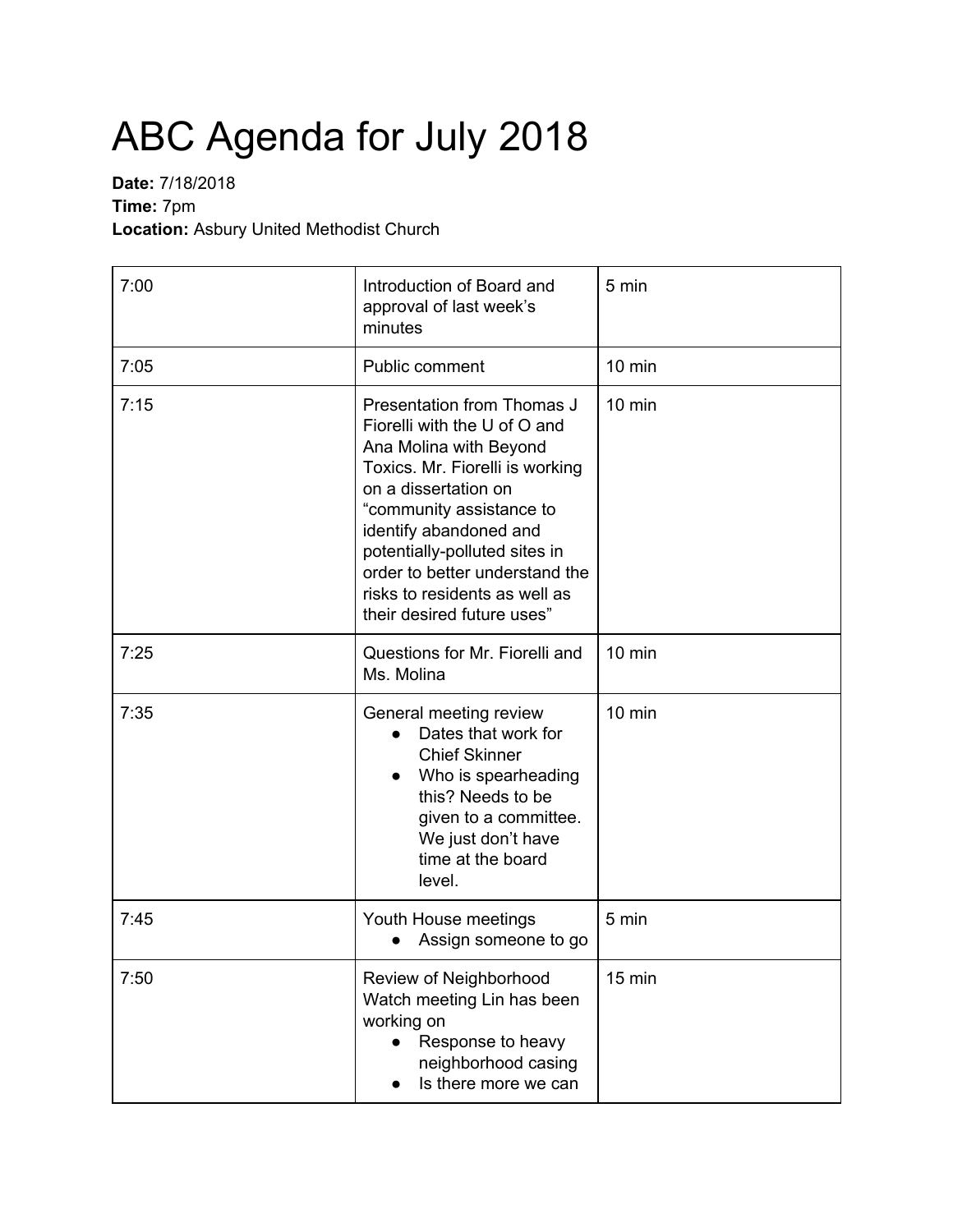## ABC Agenda for July 2018

## **Date:** 7/18/2018 **Time:** 7pm **Location:** Asbury United Methodist Church

| 7:00 | Introduction of Board and<br>approval of last week's<br>minutes                                                                                                                                                                                                                                                                         | 5 min            |
|------|-----------------------------------------------------------------------------------------------------------------------------------------------------------------------------------------------------------------------------------------------------------------------------------------------------------------------------------------|------------------|
| 7:05 | Public comment                                                                                                                                                                                                                                                                                                                          | $10 \text{ min}$ |
| 7:15 | Presentation from Thomas J<br>Fiorelli with the U of O and<br>Ana Molina with Beyond<br>Toxics. Mr. Fiorelli is working<br>on a dissertation on<br>"community assistance to<br>identify abandoned and<br>potentially-polluted sites in<br>order to better understand the<br>risks to residents as well as<br>their desired future uses" | $10$ min         |
| 7:25 | Questions for Mr. Fiorelli and<br>Ms. Molina                                                                                                                                                                                                                                                                                            | $10$ min         |
| 7:35 | General meeting review<br>Dates that work for<br>$\bullet$<br><b>Chief Skinner</b><br>Who is spearheading<br>this? Needs to be<br>given to a committee.<br>We just don't have<br>time at the board<br>level.                                                                                                                            | $10 \text{ min}$ |
| 7:45 | Youth House meetings<br>Assign someone to go                                                                                                                                                                                                                                                                                            | 5 min            |
| 7:50 | Review of Neighborhood<br>Watch meeting Lin has been<br>working on<br>Response to heavy<br>$\bullet$<br>neighborhood casing<br>Is there more we can                                                                                                                                                                                     | 15 min           |